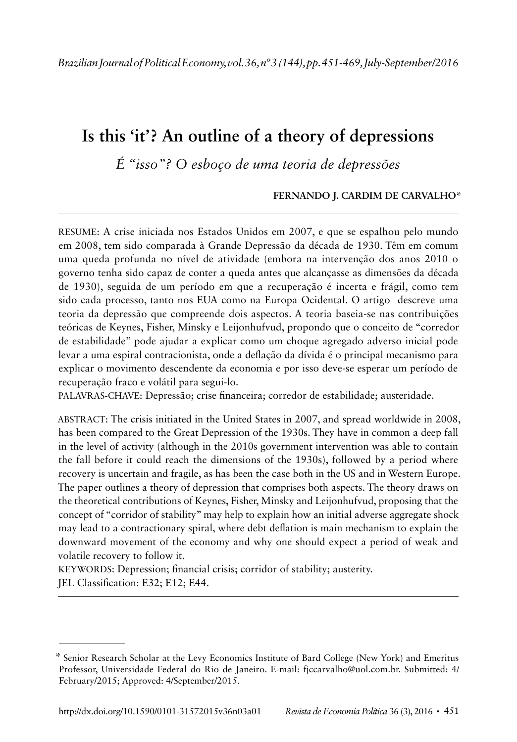# **Is this 'it'? An outline of a theory of depressions**

*É "isso"? O esboço de uma teoria de depressões*

#### **Fernando J. Cardim de Carvalho\***

resume: A crise iniciada nos Estados Unidos em 2007, e que se espalhou pelo mundo em 2008, tem sido comparada à Grande Depressão da década de 1930. Têm em comum uma queda profunda no nível de atividade (embora na intervenção dos anos 2010 o governo tenha sido capaz de conter a queda antes que alcançasse as dimensões da década de 1930), seguida de um período em que a recuperação é incerta e frágil, como tem sido cada processo, tanto nos EUA como na Europa Ocidental. O artigo descreve uma teoria da depressão que compreende dois aspectos. A teoria baseia-se nas contribuições teóricas de Keynes, Fisher, Minsky e Leijonhufvud, propondo que o conceito de "corredor de estabilidade" pode ajudar a explicar como um choque agregado adverso inicial pode levar a uma espiral contracionista, onde a deflação da dívida é o principal mecanismo para explicar o movimento descendente da economia e por isso deve-se esperar um período de recuperação fraco e volátil para segui-lo.

Palavras -chave: Depressão; crise financeira; corredor de estabilidade; austeridade.

abstract: The crisis initiated in the United States in 2007, and spread worldwide in 2008, has been compared to the Great Depression of the 1930s. They have in common a deep fall in the level of activity (although in the 2010s government intervention was able to contain the fall before it could reach the dimensions of the 1930s), followed by a period where recovery is uncertain and fragile, as has been the case both in the US and in Western Europe. The paper outlines a theory of depression that comprises both aspects. The theory draws on the theoretical contributions of Keynes, Fisher, Minsky and Leijonhufvud, proposing that the concept of "corridor of stability" may help to explain how an initial adverse aggregate shock may lead to a contractionary spiral, where debt deflation is main mechanism to explain the downward movement of the economy and why one should expect a period of weak and volatile recovery to follow it.

KEYWORDS: Depression; financial crisis; corridor of stability; austerity. JEL Classification: E32; E12; E44.

<sup>\*</sup> Senior Research Scholar at the Levy Economics Institute of Bard College (New York) and Emeritus Professor, Universidade Federal do Rio de Janeiro. E-mail: fjccarvalho@uol.com.br. Submitted: 4/ February/2015; Approved: 4/September/2015.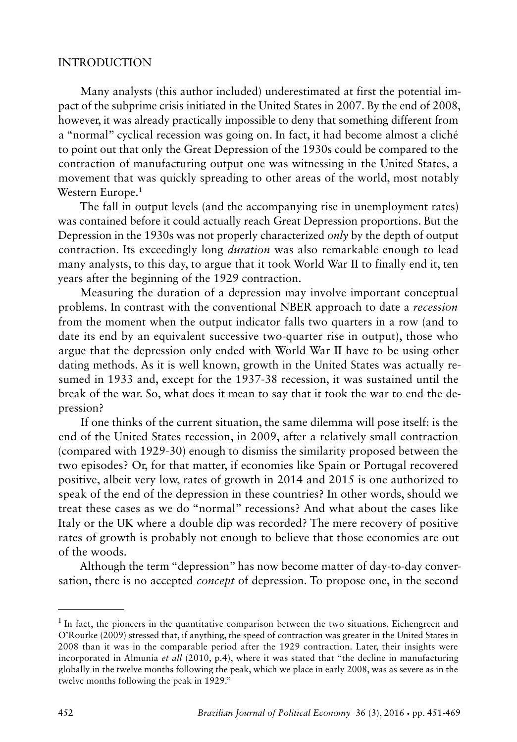#### **INTRODUCTION**

Many analysts (this author included) underestimated at first the potential impact of the subprime crisis initiated in the United States in 2007. By the end of 2008, however, it was already practically impossible to deny that something different from a "normal" cyclical recession was going on. In fact, it had become almost a cliché to point out that only the Great Depression of the 1930s could be compared to the contraction of manufacturing output one was witnessing in the United States, a movement that was quickly spreading to other areas of the world, most notably Western Europe.<sup>1</sup>

The fall in output levels (and the accompanying rise in unemployment rates) was contained before it could actually reach Great Depression proportions. But the Depression in the 1930s was not properly characterized *only* by the depth of output contraction. Its exceedingly long *duration* was also remarkable enough to lead many analysts, to this day, to argue that it took World War II to finally end it, ten years after the beginning of the 1929 contraction.

Measuring the duration of a depression may involve important conceptual problems. In contrast with the conventional NBER approach to date a *recession* from the moment when the output indicator falls two quarters in a row (and to date its end by an equivalent successive two-quarter rise in output), those who argue that the depression only ended with World War II have to be using other dating methods. As it is well known, growth in the United States was actually resumed in 1933 and, except for the 1937-38 recession, it was sustained until the break of the war. So, what does it mean to say that it took the war to end the depression?

If one thinks of the current situation, the same dilemma will pose itself: is the end of the United States recession, in 2009, after a relatively small contraction (compared with 1929-30) enough to dismiss the similarity proposed between the two episodes? Or, for that matter, if economies like Spain or Portugal recovered positive, albeit very low, rates of growth in 2014 and 2015 is one authorized to speak of the end of the depression in these countries? In other words, should we treat these cases as we do "normal" recessions? And what about the cases like Italy or the UK where a double dip was recorded? The mere recovery of positive rates of growth is probably not enough to believe that those economies are out of the woods.

Although the term "depression" has now become matter of day-to-day conversation, there is no accepted *concept* of depression. To propose one, in the second

 $<sup>1</sup>$  In fact, the pioneers in the quantitative comparison between the two situations, Eichengreen and</sup> O'Rourke (2009) stressed that, if anything, the speed of contraction was greater in the United States in 2008 than it was in the comparable period after the 1929 contraction. Later, their insights were incorporated in Almunia *et all* (2010, p.4), where it was stated that "the decline in manufacturing globally in the twelve months following the peak, which we place in early 2008, was as severe as in the twelve months following the peak in 1929."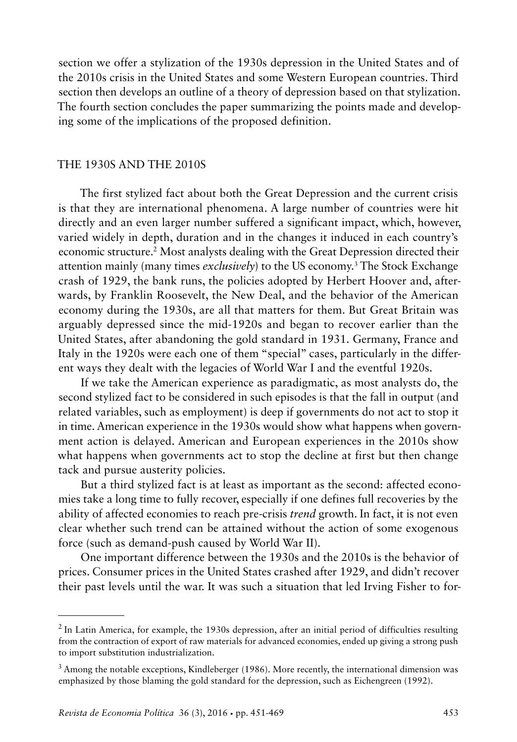section we offer a stylization of the 1930s depression in the United States and of the 2010s crisis in the United States and some Western European countries. Third section then develops an outline of a theory of depression based on that stylization. The fourth section concludes the paper summarizing the points made and developing some of the implications of the proposed definition.

### The 1930s and the 2010s

The first stylized fact about both the Great Depression and the current crisis is that they are international phenomena. A large number of countries were hit directly and an even larger number suffered a significant impact, which, however, varied widely in depth, duration and in the changes it induced in each country's economic structure.<sup>2</sup> Most analysts dealing with the Great Depression directed their attention mainly (many times *exclusively*) to the US economy.3 The Stock Exchange crash of 1929, the bank runs, the policies adopted by Herbert Hoover and, afterwards, by Franklin Roosevelt, the New Deal, and the behavior of the American economy during the 1930s, are all that matters for them. But Great Britain was arguably depressed since the mid-1920s and began to recover earlier than the United States, after abandoning the gold standard in 1931. Germany, France and Italy in the 1920s were each one of them "special" cases, particularly in the different ways they dealt with the legacies of World War I and the eventful 1920s.

If we take the American experience as paradigmatic, as most analysts do, the second stylized fact to be considered in such episodes is that the fall in output (and related variables, such as employment) is deep if governments do not act to stop it in time. American experience in the 1930s would show what happens when government action is delayed. American and European experiences in the 2010s show what happens when governments act to stop the decline at first but then change tack and pursue austerity policies.

But a third stylized fact is at least as important as the second: affected economies take a long time to fully recover, especially if one defines full recoveries by the ability of affected economies to reach pre-crisis *trend* growth. In fact, it is not even clear whether such trend can be attained without the action of some exogenous force (such as demand-push caused by World War II).

One important difference between the 1930s and the 2010s is the behavior of prices. Consumer prices in the United States crashed after 1929, and didn't recover their past levels until the war. It was such a situation that led Irving Fisher to for-

 $<sup>2</sup>$  In Latin America, for example, the 1930s depression, after an initial period of difficulties resulting</sup> from the contraction of export of raw materials for advanced economies, ended up giving a strong push to import substitution industrialization.

 $3$  Among the notable exceptions, Kindleberger (1986). More recently, the international dimension was emphasized by those blaming the gold standard for the depression, such as Eichengreen (1992).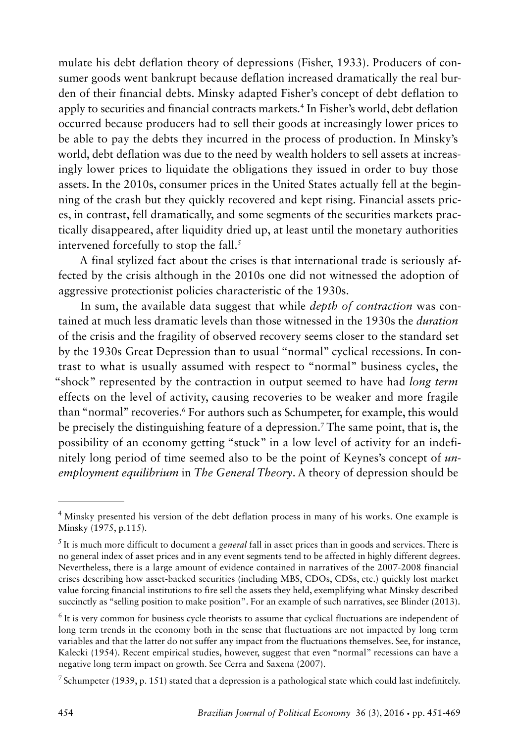mulate his debt deflation theory of depressions (Fisher, 1933). Producers of consumer goods went bankrupt because deflation increased dramatically the real burden of their financial debts. Minsky adapted Fisher's concept of debt deflation to apply to securities and financial contracts markets.<sup>4</sup> In Fisher's world, debt deflation occurred because producers had to sell their goods at increasingly lower prices to be able to pay the debts they incurred in the process of production. In Minsky's world, debt deflation was due to the need by wealth holders to sell assets at increasingly lower prices to liquidate the obligations they issued in order to buy those assets. In the 2010s, consumer prices in the United States actually fell at the beginning of the crash but they quickly recovered and kept rising. Financial assets prices, in contrast, fell dramatically, and some segments of the securities markets practically disappeared, after liquidity dried up, at least until the monetary authorities intervened forcefully to stop the fall.<sup>5</sup>

A final stylized fact about the crises is that international trade is seriously affected by the crisis although in the 2010s one did not witnessed the adoption of aggressive protectionist policies characteristic of the 1930s.

In sum, the available data suggest that while *depth of contraction* was contained at much less dramatic levels than those witnessed in the 1930s the *duration* of the crisis and the fragility of observed recovery seems closer to the standard set by the 1930s Great Depression than to usual "normal" cyclical recessions. In contrast to what is usually assumed with respect to "normal" business cycles, the "shock" represented by the contraction in output seemed to have had *long term* effects on the level of activity, causing recoveries to be weaker and more fragile than "normal" recoveries.<sup>6</sup> For authors such as Schumpeter, for example, this would be precisely the distinguishing feature of a depression.7 The same point, that is, the possibility of an economy getting "stuck" in a low level of activity for an indefinitely long period of time seemed also to be the point of Keynes's concept of *unemployment equilibrium* in *The General Theory*. A theory of depression should be

<sup>4</sup> Minsky presented his version of the debt deflation process in many of his works. One example is Minsky (1975, p.115).

<sup>5</sup> It is much more difficult to document a *general* fall in asset prices than in goods and services. There is no general index of asset prices and in any event segments tend to be affected in highly different degrees. Nevertheless, there is a large amount of evidence contained in narratives of the 2007-2008 financial crises describing how asset-backed securities (including MBS, CDOs, CDSs, etc.) quickly lost market value forcing financial institutions to fire sell the assets they held, exemplifying what Minsky described succinctly as "selling position to make position". For an example of such narratives, see Blinder (2013).

 $<sup>6</sup>$  It is very common for business cycle theorists to assume that cyclical fluctuations are independent of</sup> long term trends in the economy both in the sense that fluctuations are not impacted by long term variables and that the latter do not suffer any impact from the fluctuations themselves. See, for instance, Kalecki (1954). Recent empirical studies, however, suggest that even "normal" recessions can have a negative long term impact on growth. See Cerra and Saxena (2007).

<sup>&</sup>lt;sup>7</sup> Schumpeter (1939, p. 151) stated that a depression is a pathological state which could last indefinitely.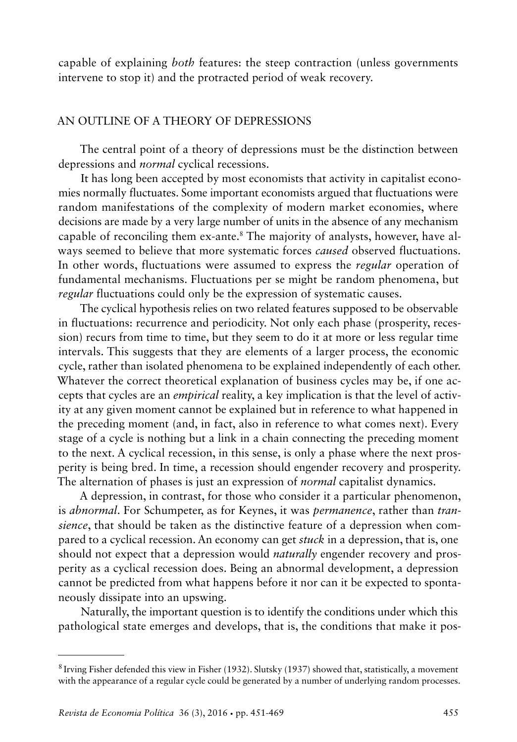capable of explaining *both* features: the steep contraction (unless governments intervene to stop it) and the protracted period of weak recovery.

## AN OUTLINE OF A THEORY OF DEPRESSIONS

The central point of a theory of depressions must be the distinction between depressions and *normal* cyclical recessions.

It has long been accepted by most economists that activity in capitalist economies normally fluctuates. Some important economists argued that fluctuations were random manifestations of the complexity of modern market economies, where decisions are made by a very large number of units in the absence of any mechanism capable of reconciling them ex-ante.8 The majority of analysts, however, have always seemed to believe that more systematic forces *caused* observed fluctuations. In other words, fluctuations were assumed to express the *regular* operation of fundamental mechanisms. Fluctuations per se might be random phenomena, but *regular* fluctuations could only be the expression of systematic causes.

The cyclical hypothesis relies on two related features supposed to be observable in fluctuations: recurrence and periodicity. Not only each phase (prosperity, recession) recurs from time to time, but they seem to do it at more or less regular time intervals. This suggests that they are elements of a larger process, the economic cycle, rather than isolated phenomena to be explained independently of each other. Whatever the correct theoretical explanation of business cycles may be, if one accepts that cycles are an *empirical* reality, a key implication is that the level of activity at any given moment cannot be explained but in reference to what happened in the preceding moment (and, in fact, also in reference to what comes next). Every stage of a cycle is nothing but a link in a chain connecting the preceding moment to the next. A cyclical recession, in this sense, is only a phase where the next prosperity is being bred. In time, a recession should engender recovery and prosperity. The alternation of phases is just an expression of *normal* capitalist dynamics.

A depression, in contrast, for those who consider it a particular phenomenon, is *abnormal*. For Schumpeter, as for Keynes, it was *permanence*, rather than *transience*, that should be taken as the distinctive feature of a depression when compared to a cyclical recession. An economy can get *stuck* in a depression, that is, one should not expect that a depression would *naturally* engender recovery and prosperity as a cyclical recession does. Being an abnormal development, a depression cannot be predicted from what happens before it nor can it be expected to spontaneously dissipate into an upswing.

Naturally, the important question is to identify the conditions under which this pathological state emerges and develops, that is, the conditions that make it pos-

 $8$  Irving Fisher defended this view in Fisher (1932). Slutsky (1937) showed that, statistically, a movement with the appearance of a regular cycle could be generated by a number of underlying random processes.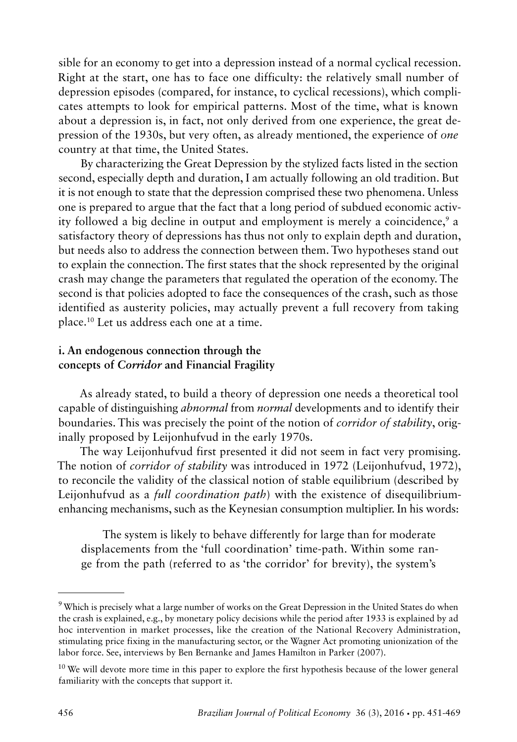sible for an economy to get into a depression instead of a normal cyclical recession. Right at the start, one has to face one difficulty: the relatively small number of depression episodes (compared, for instance, to cyclical recessions), which complicates attempts to look for empirical patterns. Most of the time, what is known about a depression is, in fact, not only derived from one experience, the great depression of the 1930s, but very often, as already mentioned, the experience of *one* country at that time, the United States.

By characterizing the Great Depression by the stylized facts listed in the section second, especially depth and duration, I am actually following an old tradition. But it is not enough to state that the depression comprised these two phenomena. Unless one is prepared to argue that the fact that a long period of subdued economic activity followed a big decline in output and employment is merely a coincidence,<sup>9</sup> a satisfactory theory of depressions has thus not only to explain depth and duration, but needs also to address the connection between them. Two hypotheses stand out to explain the connection. The first states that the shock represented by the original crash may change the parameters that regulated the operation of the economy. The second is that policies adopted to face the consequences of the crash, such as those identified as austerity policies, may actually prevent a full recovery from taking place.10 Let us address each one at a time.

## **i. An endogenous connection through the concepts of** *Corridor* **and Financial Fragility**

As already stated, to build a theory of depression one needs a theoretical tool capable of distinguishing *abnormal* from *normal* developments and to identify their boundaries. This was precisely the point of the notion of *corridor of stability*, originally proposed by Leijonhufvud in the early 1970s.

The way Leijonhufvud first presented it did not seem in fact very promising. The notion of *corridor of stability* was introduced in 1972 (Leijonhufvud, 1972), to reconcile the validity of the classical notion of stable equilibrium (described by Leijonhufvud as a *full coordination path*) with the existence of disequilibriumenhancing mechanisms, such as the Keynesian consumption multiplier. In his words:

The system is likely to behave differently for large than for moderate displacements from the 'full coordination' time-path. Within some range from the path (referred to as 'the corridor' for brevity), the system's

<sup>9</sup> Which is precisely what a large number of works on the Great Depression in the United States do when the crash is explained, e.g., by monetary policy decisions while the period after 1933 is explained by ad hoc intervention in market processes, like the creation of the National Recovery Administration, stimulating price fixing in the manufacturing sector, or the Wagner Act promoting unionization of the labor force. See, interviews by Ben Bernanke and James Hamilton in Parker (2007).

<sup>&</sup>lt;sup>10</sup> We will devote more time in this paper to explore the first hypothesis because of the lower general familiarity with the concepts that support it.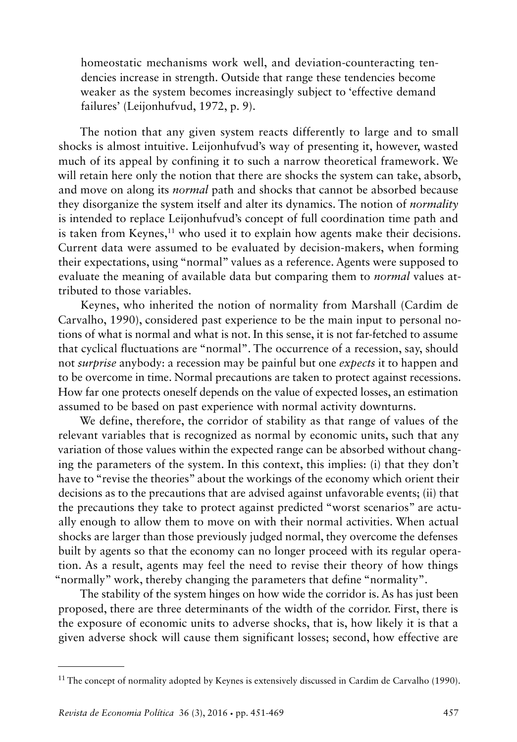homeostatic mechanisms work well, and deviation-counteracting tendencies increase in strength. Outside that range these tendencies become weaker as the system becomes increasingly subject to 'effective demand failures' (Leijonhufvud, 1972, p. 9).

The notion that any given system reacts differently to large and to small shocks is almost intuitive. Leijonhufvud's way of presenting it, however, wasted much of its appeal by confining it to such a narrow theoretical framework. We will retain here only the notion that there are shocks the system can take, absorb, and move on along its *normal* path and shocks that cannot be absorbed because they disorganize the system itself and alter its dynamics. The notion of *normality* is intended to replace Leijonhufvud's concept of full coordination time path and is taken from Keynes, $11$  who used it to explain how agents make their decisions. Current data were assumed to be evaluated by decision-makers, when forming their expectations, using "normal" values as a reference. Agents were supposed to evaluate the meaning of available data but comparing them to *normal* values attributed to those variables.

Keynes, who inherited the notion of normality from Marshall (Cardim de Carvalho, 1990), considered past experience to be the main input to personal notions of what is normal and what is not. In this sense, it is not far-fetched to assume that cyclical fluctuations are "normal". The occurrence of a recession, say, should not *surprise* anybody: a recession may be painful but one *expects* it to happen and to be overcome in time. Normal precautions are taken to protect against recessions. How far one protects oneself depends on the value of expected losses, an estimation assumed to be based on past experience with normal activity downturns.

We define, therefore, the corridor of stability as that range of values of the relevant variables that is recognized as normal by economic units, such that any variation of those values within the expected range can be absorbed without changing the parameters of the system. In this context, this implies: (i) that they don't have to "revise the theories" about the workings of the economy which orient their decisions as to the precautions that are advised against unfavorable events; (ii) that the precautions they take to protect against predicted "worst scenarios" are actually enough to allow them to move on with their normal activities. When actual shocks are larger than those previously judged normal, they overcome the defenses built by agents so that the economy can no longer proceed with its regular operation. As a result, agents may feel the need to revise their theory of how things "normally" work, thereby changing the parameters that define "normality".

The stability of the system hinges on how wide the corridor is. As has just been proposed, there are three determinants of the width of the corridor. First, there is the exposure of economic units to adverse shocks, that is, how likely it is that a given adverse shock will cause them significant losses; second, how effective are

<sup>&</sup>lt;sup>11</sup> The concept of normality adopted by Keynes is extensively discussed in Cardim de Carvalho (1990).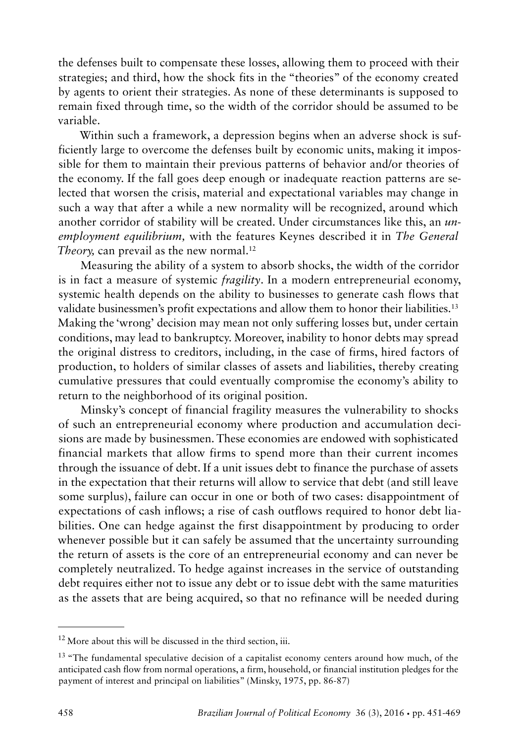the defenses built to compensate these losses, allowing them to proceed with their strategies; and third, how the shock fits in the "theories" of the economy created by agents to orient their strategies. As none of these determinants is supposed to remain fixed through time, so the width of the corridor should be assumed to be variable.

Within such a framework, a depression begins when an adverse shock is sufficiently large to overcome the defenses built by economic units, making it impossible for them to maintain their previous patterns of behavior and/or theories of the economy. If the fall goes deep enough or inadequate reaction patterns are selected that worsen the crisis, material and expectational variables may change in such a way that after a while a new normality will be recognized, around which another corridor of stability will be created. Under circumstances like this, an *unemployment equilibrium,* with the features Keynes described it in *The General Theory*, can prevail as the new normal.<sup>12</sup>

Measuring the ability of a system to absorb shocks, the width of the corridor is in fact a measure of systemic *fragility*. In a modern entrepreneurial economy, systemic health depends on the ability to businesses to generate cash flows that validate businessmen's profit expectations and allow them to honor their liabilities.13 Making the 'wrong' decision may mean not only suffering losses but, under certain conditions, may lead to bankruptcy. Moreover, inability to honor debts may spread the original distress to creditors, including, in the case of firms, hired factors of production, to holders of similar classes of assets and liabilities, thereby creating cumulative pressures that could eventually compromise the economy's ability to return to the neighborhood of its original position.

Minsky's concept of financial fragility measures the vulnerability to shocks of such an entrepreneurial economy where production and accumulation decisions are made by businessmen. These economies are endowed with sophisticated financial markets that allow firms to spend more than their current incomes through the issuance of debt. If a unit issues debt to finance the purchase of assets in the expectation that their returns will allow to service that debt (and still leave some surplus), failure can occur in one or both of two cases: disappointment of expectations of cash inflows; a rise of cash outflows required to honor debt liabilities. One can hedge against the first disappointment by producing to order whenever possible but it can safely be assumed that the uncertainty surrounding the return of assets is the core of an entrepreneurial economy and can never be completely neutralized. To hedge against increases in the service of outstanding debt requires either not to issue any debt or to issue debt with the same maturities as the assets that are being acquired, so that no refinance will be needed during

<sup>&</sup>lt;sup>12</sup> More about this will be discussed in the third section, iii.

 $13$  "The fundamental speculative decision of a capitalist economy centers around how much, of the anticipated cash flow from normal operations, a firm, household, or financial institution pledges for the payment of interest and principal on liabilities" (Minsky, 1975, pp. 86-87)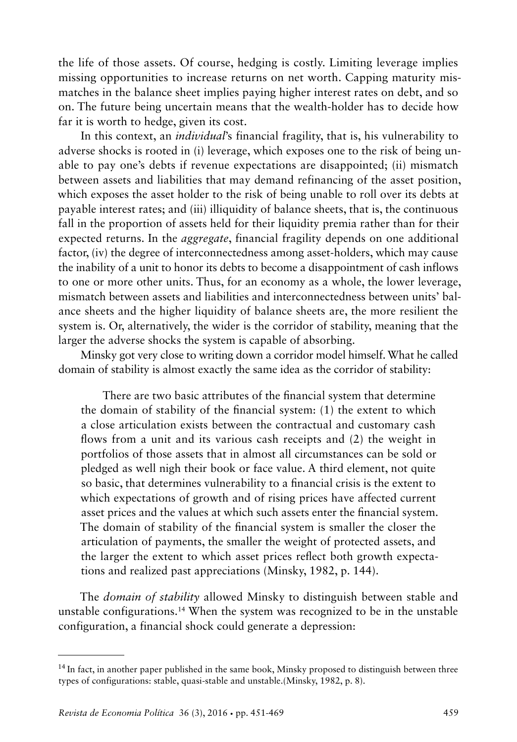the life of those assets. Of course, hedging is costly. Limiting leverage implies missing opportunities to increase returns on net worth. Capping maturity mismatches in the balance sheet implies paying higher interest rates on debt, and so on. The future being uncertain means that the wealth-holder has to decide how far it is worth to hedge, given its cost.

In this context, an *individual*'s financial fragility, that is, his vulnerability to adverse shocks is rooted in (i) leverage, which exposes one to the risk of being unable to pay one's debts if revenue expectations are disappointed; (ii) mismatch between assets and liabilities that may demand refinancing of the asset position, which exposes the asset holder to the risk of being unable to roll over its debts at payable interest rates; and (iii) illiquidity of balance sheets, that is, the continuous fall in the proportion of assets held for their liquidity premia rather than for their expected returns. In the *aggregate*, financial fragility depends on one additional factor, (iv) the degree of interconnectedness among asset-holders, which may cause the inability of a unit to honor its debts to become a disappointment of cash inflows to one or more other units. Thus, for an economy as a whole, the lower leverage, mismatch between assets and liabilities and interconnectedness between units' balance sheets and the higher liquidity of balance sheets are, the more resilient the system is. Or, alternatively, the wider is the corridor of stability, meaning that the larger the adverse shocks the system is capable of absorbing.

Minsky got very close to writing down a corridor model himself. What he called domain of stability is almost exactly the same idea as the corridor of stability:

There are two basic attributes of the financial system that determine the domain of stability of the financial system: (1) the extent to which a close articulation exists between the contractual and customary cash flows from a unit and its various cash receipts and (2) the weight in portfolios of those assets that in almost all circumstances can be sold or pledged as well nigh their book or face value. A third element, not quite so basic, that determines vulnerability to a financial crisis is the extent to which expectations of growth and of rising prices have affected current asset prices and the values at which such assets enter the financial system. The domain of stability of the financial system is smaller the closer the articulation of payments, the smaller the weight of protected assets, and the larger the extent to which asset prices reflect both growth expectations and realized past appreciations (Minsky, 1982, p. 144).

The *domain of stability* allowed Minsky to distinguish between stable and unstable configurations.14 When the system was recognized to be in the unstable configuration, a financial shock could generate a depression:

<sup>&</sup>lt;sup>14</sup> In fact, in another paper published in the same book, Minsky proposed to distinguish between three types of configurations: stable, quasi-stable and unstable.(Minsky, 1982, p. 8).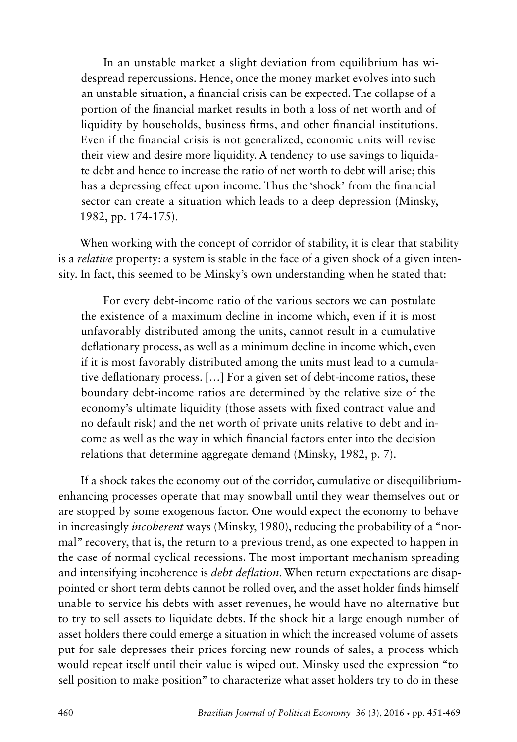In an unstable market a slight deviation from equilibrium has widespread repercussions. Hence, once the money market evolves into such an unstable situation, a financial crisis can be expected. The collapse of a portion of the financial market results in both a loss of net worth and of liquidity by households, business firms, and other financial institutions. Even if the financial crisis is not generalized, economic units will revise their view and desire more liquidity. A tendency to use savings to liquidate debt and hence to increase the ratio of net worth to debt will arise; this has a depressing effect upon income. Thus the 'shock' from the financial sector can create a situation which leads to a deep depression (Minsky, 1982, pp. 174-175).

When working with the concept of corridor of stability, it is clear that stability is a *relative* property: a system is stable in the face of a given shock of a given intensity. In fact, this seemed to be Minsky's own understanding when he stated that:

For every debt-income ratio of the various sectors we can postulate the existence of a maximum decline in income which, even if it is most unfavorably distributed among the units, cannot result in a cumulative deflationary process, as well as a minimum decline in income which, even if it is most favorably distributed among the units must lead to a cumulative deflationary process. […] For a given set of debt-income ratios, these boundary debt-income ratios are determined by the relative size of the economy's ultimate liquidity (those assets with fixed contract value and no default risk) and the net worth of private units relative to debt and income as well as the way in which financial factors enter into the decision relations that determine aggregate demand (Minsky, 1982, p. 7).

If a shock takes the economy out of the corridor, cumulative or disequilibriumenhancing processes operate that may snowball until they wear themselves out or are stopped by some exogenous factor. One would expect the economy to behave in increasingly *incoherent* ways (Minsky, 1980), reducing the probability of a "normal" recovery, that is, the return to a previous trend, as one expected to happen in the case of normal cyclical recessions. The most important mechanism spreading and intensifying incoherence is *debt deflation*. When return expectations are disappointed or short term debts cannot be rolled over, and the asset holder finds himself unable to service his debts with asset revenues, he would have no alternative but to try to sell assets to liquidate debts. If the shock hit a large enough number of asset holders there could emerge a situation in which the increased volume of assets put for sale depresses their prices forcing new rounds of sales, a process which would repeat itself until their value is wiped out. Minsky used the expression "to sell position to make position" to characterize what asset holders try to do in these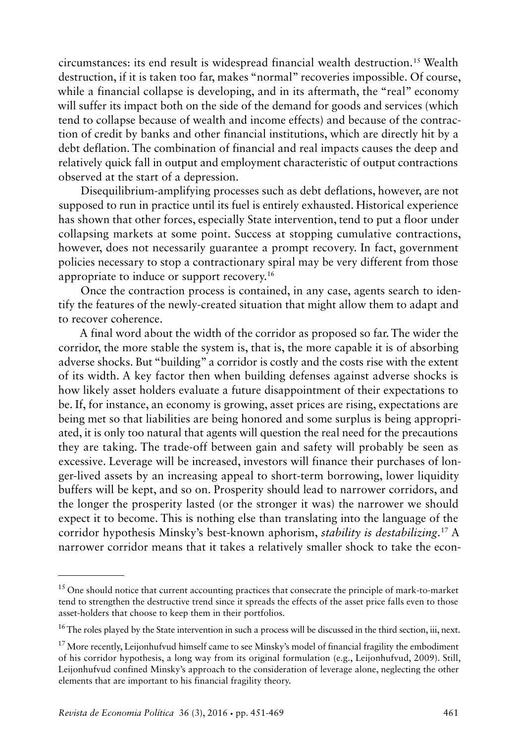circumstances: its end result is widespread financial wealth destruction.15 Wealth destruction, if it is taken too far, makes "normal" recoveries impossible. Of course, while a financial collapse is developing, and in its aftermath, the "real" economy will suffer its impact both on the side of the demand for goods and services (which tend to collapse because of wealth and income effects) and because of the contraction of credit by banks and other financial institutions, which are directly hit by a debt deflation. The combination of financial and real impacts causes the deep and relatively quick fall in output and employment characteristic of output contractions observed at the start of a depression.

Disequilibrium-amplifying processes such as debt deflations, however, are not supposed to run in practice until its fuel is entirely exhausted. Historical experience has shown that other forces, especially State intervention, tend to put a floor under collapsing markets at some point. Success at stopping cumulative contractions, however, does not necessarily guarantee a prompt recovery. In fact, government policies necessary to stop a contractionary spiral may be very different from those appropriate to induce or support recovery.<sup>16</sup>

Once the contraction process is contained, in any case, agents search to identify the features of the newly-created situation that might allow them to adapt and to recover coherence.

A final word about the width of the corridor as proposed so far. The wider the corridor, the more stable the system is, that is, the more capable it is of absorbing adverse shocks. But "building" a corridor is costly and the costs rise with the extent of its width. A key factor then when building defenses against adverse shocks is how likely asset holders evaluate a future disappointment of their expectations to be. If, for instance, an economy is growing, asset prices are rising, expectations are being met so that liabilities are being honored and some surplus is being appropriated, it is only too natural that agents will question the real need for the precautions they are taking. The trade-off between gain and safety will probably be seen as excessive. Leverage will be increased, investors will finance their purchases of longer-lived assets by an increasing appeal to short-term borrowing, lower liquidity buffers will be kept, and so on. Prosperity should lead to narrower corridors, and the longer the prosperity lasted (or the stronger it was) the narrower we should expect it to become. This is nothing else than translating into the language of the corridor hypothesis Minsky's best-known aphorism, *stability is destabilizing*. 17 A narrower corridor means that it takes a relatively smaller shock to take the econ-

<sup>&</sup>lt;sup>15</sup> One should notice that current accounting practices that consecrate the principle of mark-to-market tend to strengthen the destructive trend since it spreads the effects of the asset price falls even to those asset-holders that choose to keep them in their portfolios.

 $16$  The roles played by the State intervention in such a process will be discussed in the third section, iii, next.

 $17$  More recently, Leijonhufvud himself came to see Minsky's model of financial fragility the embodiment of his corridor hypothesis, a long way from its original formulation (e.g., Leijonhufvud, 2009). Still, Leijonhufvud confined Minsky's approach to the consideration of leverage alone, neglecting the other elements that are important to his financial fragility theory.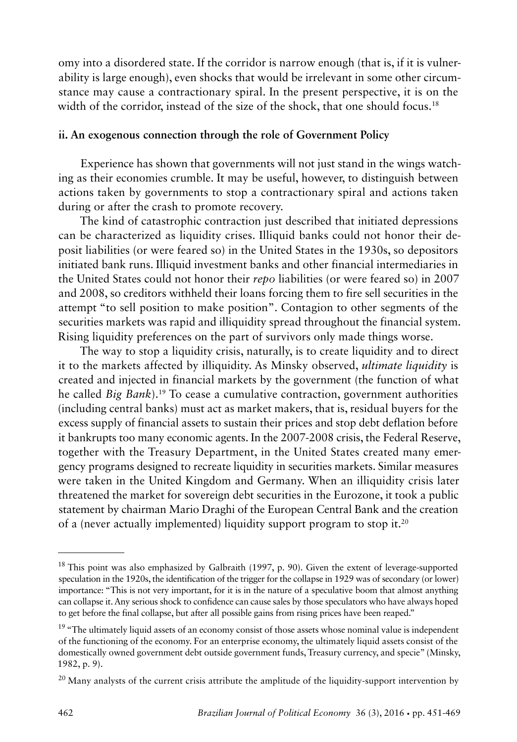omy into a disordered state. If the corridor is narrow enough (that is, if it is vulnerability is large enough), even shocks that would be irrelevant in some other circumstance may cause a contractionary spiral. In the present perspective, it is on the width of the corridor, instead of the size of the shock, that one should focus.<sup>18</sup>

## **ii. An exogenous connection through the role of Government Policy**

Experience has shown that governments will not just stand in the wings watching as their economies crumble. It may be useful, however, to distinguish between actions taken by governments to stop a contractionary spiral and actions taken during or after the crash to promote recovery.

The kind of catastrophic contraction just described that initiated depressions can be characterized as liquidity crises. Illiquid banks could not honor their deposit liabilities (or were feared so) in the United States in the 1930s, so depositors initiated bank runs. Illiquid investment banks and other financial intermediaries in the United States could not honor their *repo* liabilities (or were feared so) in 2007 and 2008, so creditors withheld their loans forcing them to fire sell securities in the attempt "to sell position to make position". Contagion to other segments of the securities markets was rapid and illiquidity spread throughout the financial system. Rising liquidity preferences on the part of survivors only made things worse.

The way to stop a liquidity crisis, naturally, is to create liquidity and to direct it to the markets affected by illiquidity. As Minsky observed, *ultimate liquidity* is created and injected in financial markets by the government (the function of what he called *Big Bank*).19 To cease a cumulative contraction, government authorities (including central banks) must act as market makers, that is, residual buyers for the excess supply of financial assets to sustain their prices and stop debt deflation before it bankrupts too many economic agents. In the 2007-2008 crisis, the Federal Reserve, together with the Treasury Department, in the United States created many emergency programs designed to recreate liquidity in securities markets. Similar measures were taken in the United Kingdom and Germany. When an illiquidity crisis later threatened the market for sovereign debt securities in the Eurozone, it took a public statement by chairman Mario Draghi of the European Central Bank and the creation of a (never actually implemented) liquidity support program to stop it.<sup>20</sup>

<sup>&</sup>lt;sup>18</sup> This point was also emphasized by Galbraith (1997, p. 90). Given the extent of leverage-supported speculation in the 1920s, the identification of the trigger for the collapse in 1929 was of secondary (or lower) importance: "This is not very important, for it is in the nature of a speculative boom that almost anything can collapse it. Any serious shock to confidence can cause sales by those speculators who have always hoped to get before the final collapse, but after all possible gains from rising prices have been reaped."

<sup>&</sup>lt;sup>19</sup> "The ultimately liquid assets of an economy consist of those assets whose nominal value is independent of the functioning of the economy. For an enterprise economy, the ultimately liquid assets consist of the domestically owned government debt outside government funds, Treasury currency, and specie" (Minsky, 1982, p. 9).

 $20$  Many analysts of the current crisis attribute the amplitude of the liquidity-support intervention by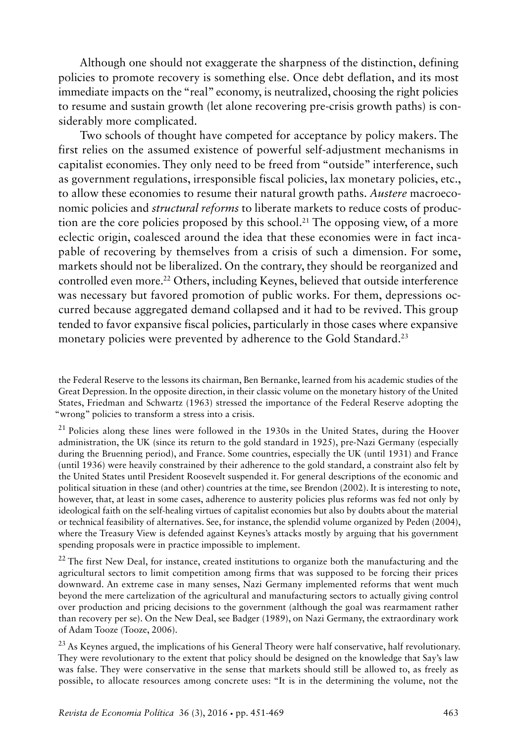Although one should not exaggerate the sharpness of the distinction, defining policies to promote recovery is something else. Once debt deflation, and its most immediate impacts on the "real" economy, is neutralized, choosing the right policies to resume and sustain growth (let alone recovering pre-crisis growth paths) is considerably more complicated.

Two schools of thought have competed for acceptance by policy makers. The first relies on the assumed existence of powerful self-adjustment mechanisms in capitalist economies. They only need to be freed from "outside" interference, such as government regulations, irresponsible fiscal policies, lax monetary policies, etc., to allow these economies to resume their natural growth paths. *Austere* macroeconomic policies and *structural reforms* to liberate markets to reduce costs of production are the core policies proposed by this school.<sup>21</sup> The opposing view, of a more eclectic origin, coalesced around the idea that these economies were in fact incapable of recovering by themselves from a crisis of such a dimension. For some, markets should not be liberalized. On the contrary, they should be reorganized and controlled even more.22 Others, including Keynes, believed that outside interference was necessary but favored promotion of public works. For them, depressions occurred because aggregated demand collapsed and it had to be revived. This group tended to favor expansive fiscal policies, particularly in those cases where expansive monetary policies were prevented by adherence to the Gold Standard.<sup>23</sup>

the Federal Reserve to the lessons its chairman, Ben Bernanke, learned from his academic studies of the Great Depression. In the opposite direction, in their classic volume on the monetary history of the United States, Friedman and Schwartz (1963) stressed the importance of the Federal Reserve adopting the "wrong" policies to transform a stress into a crisis.

<sup>21</sup> Policies along these lines were followed in the 1930s in the United States, during the Hoover administration, the UK (since its return to the gold standard in 1925), pre-Nazi Germany (especially during the Bruenning period), and France. Some countries, especially the UK (until 1931) and France (until 1936) were heavily constrained by their adherence to the gold standard, a constraint also felt by the United States until President Roosevelt suspended it. For general descriptions of the economic and political situation in these (and other) countries at the time, see Brendon (2002). It is interesting to note, however, that, at least in some cases, adherence to austerity policies plus reforms was fed not only by ideological faith on the self-healing virtues of capitalist economies but also by doubts about the material or technical feasibility of alternatives. See, for instance, the splendid volume organized by Peden (2004), where the Treasury View is defended against Keynes's attacks mostly by arguing that his government spending proposals were in practice impossible to implement.

 $22$  The first New Deal, for instance, created institutions to organize both the manufacturing and the agricultural sectors to limit competition among firms that was supposed to be forcing their prices downward. An extreme case in many senses, Nazi Germany implemented reforms that went much beyond the mere cartelization of the agricultural and manufacturing sectors to actually giving control over production and pricing decisions to the government (although the goal was rearmament rather than recovery per se). On the New Deal, see Badger (1989), on Nazi Germany, the extraordinary work of Adam Tooze (Tooze, 2006).

 $^{23}$  As Keynes argued, the implications of his General Theory were half conservative, half revolutionary. They were revolutionary to the extent that policy should be designed on the knowledge that Say's law was false. They were conservative in the sense that markets should still be allowed to, as freely as possible, to allocate resources among concrete uses: "It is in the determining the volume, not the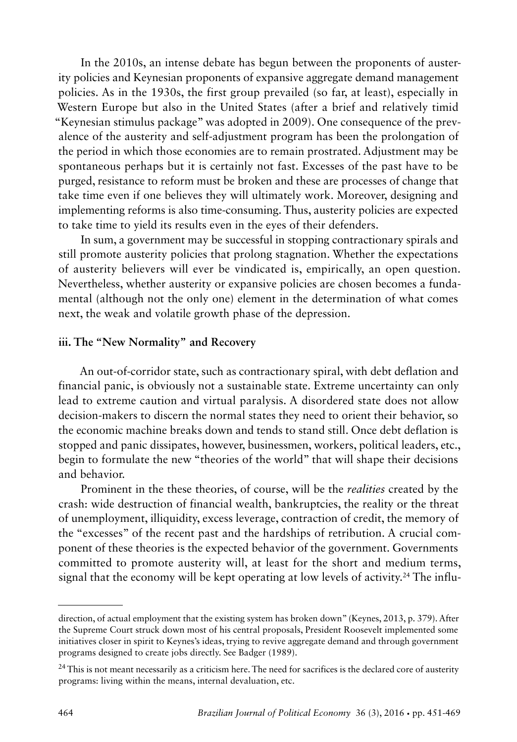In the 2010s, an intense debate has begun between the proponents of austerity policies and Keynesian proponents of expansive aggregate demand management policies. As in the 1930s, the first group prevailed (so far, at least), especially in Western Europe but also in the United States (after a brief and relatively timid "Keynesian stimulus package" was adopted in 2009). One consequence of the prevalence of the austerity and self-adjustment program has been the prolongation of the period in which those economies are to remain prostrated. Adjustment may be spontaneous perhaps but it is certainly not fast. Excesses of the past have to be purged, resistance to reform must be broken and these are processes of change that take time even if one believes they will ultimately work. Moreover, designing and implementing reforms is also time-consuming. Thus, austerity policies are expected to take time to yield its results even in the eyes of their defenders.

In sum, a government may be successful in stopping contractionary spirals and still promote austerity policies that prolong stagnation. Whether the expectations of austerity believers will ever be vindicated is, empirically, an open question. Nevertheless, whether austerity or expansive policies are chosen becomes a fundamental (although not the only one) element in the determination of what comes next, the weak and volatile growth phase of the depression.

## **iii. The "New Normality" and Recovery**

An out-of-corridor state, such as contractionary spiral, with debt deflation and financial panic, is obviously not a sustainable state. Extreme uncertainty can only lead to extreme caution and virtual paralysis. A disordered state does not allow decision-makers to discern the normal states they need to orient their behavior, so the economic machine breaks down and tends to stand still. Once debt deflation is stopped and panic dissipates, however, businessmen, workers, political leaders, etc., begin to formulate the new "theories of the world" that will shape their decisions and behavior.

Prominent in the these theories, of course, will be the *realities* created by the crash: wide destruction of financial wealth, bankruptcies, the reality or the threat of unemployment, illiquidity, excess leverage, contraction of credit, the memory of the "excesses" of the recent past and the hardships of retribution. A crucial component of these theories is the expected behavior of the government. Governments committed to promote austerity will, at least for the short and medium terms, signal that the economy will be kept operating at low levels of activity.<sup>24</sup> The influ-

direction, of actual employment that the existing system has broken down" (Keynes, 2013, p. 379). After the Supreme Court struck down most of his central proposals, President Roosevelt implemented some initiatives closer in spirit to Keynes's ideas, trying to revive aggregate demand and through government programs designed to create jobs directly. See Badger (1989).

<sup>&</sup>lt;sup>24</sup> This is not meant necessarily as a criticism here. The need for sacrifices is the declared core of austerity programs: living within the means, internal devaluation, etc.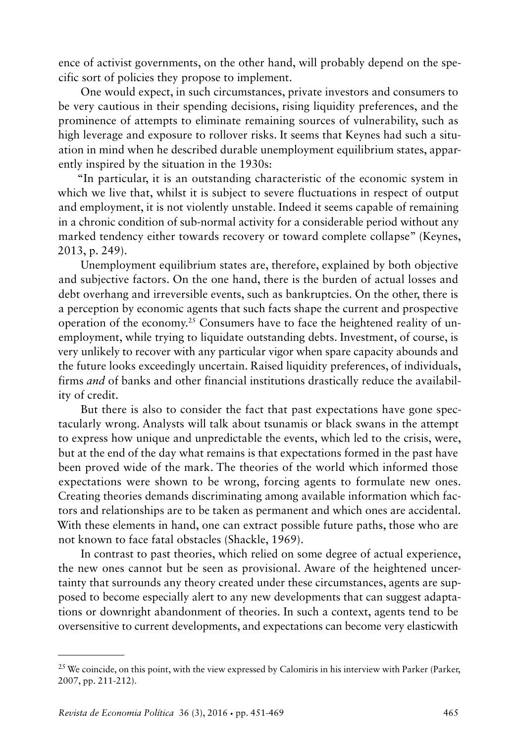ence of activist governments, on the other hand, will probably depend on the specific sort of policies they propose to implement.

One would expect, in such circumstances, private investors and consumers to be very cautious in their spending decisions, rising liquidity preferences, and the prominence of attempts to eliminate remaining sources of vulnerability, such as high leverage and exposure to rollover risks. It seems that Keynes had such a situation in mind when he described durable unemployment equilibrium states, apparently inspired by the situation in the 1930s:

"In particular, it is an outstanding characteristic of the economic system in which we live that, whilst it is subject to severe fluctuations in respect of output and employment, it is not violently unstable. Indeed it seems capable of remaining in a chronic condition of sub-normal activity for a considerable period without any marked tendency either towards recovery or toward complete collapse" (Keynes, 2013, p. 249).

Unemployment equilibrium states are, therefore, explained by both objective and subjective factors. On the one hand, there is the burden of actual losses and debt overhang and irreversible events, such as bankruptcies. On the other, there is a perception by economic agents that such facts shape the current and prospective operation of the economy.<sup>25</sup> Consumers have to face the heightened reality of unemployment, while trying to liquidate outstanding debts. Investment, of course, is very unlikely to recover with any particular vigor when spare capacity abounds and the future looks exceedingly uncertain. Raised liquidity preferences, of individuals, firms *and* of banks and other financial institutions drastically reduce the availability of credit.

But there is also to consider the fact that past expectations have gone spectacularly wrong. Analysts will talk about tsunamis or black swans in the attempt to express how unique and unpredictable the events, which led to the crisis, were, but at the end of the day what remains is that expectations formed in the past have been proved wide of the mark. The theories of the world which informed those expectations were shown to be wrong, forcing agents to formulate new ones. Creating theories demands discriminating among available information which factors and relationships are to be taken as permanent and which ones are accidental. With these elements in hand, one can extract possible future paths, those who are not known to face fatal obstacles (Shackle, 1969).

In contrast to past theories, which relied on some degree of actual experience, the new ones cannot but be seen as provisional. Aware of the heightened uncertainty that surrounds any theory created under these circumstances, agents are supposed to become especially alert to any new developments that can suggest adaptations or downright abandonment of theories. In such a context, agents tend to be oversensitive to current developments, and expectations can become very elasticwith

<sup>&</sup>lt;sup>25</sup> We coincide, on this point, with the view expressed by Calomiris in his interview with Parker (Parker, 2007, pp. 211-212).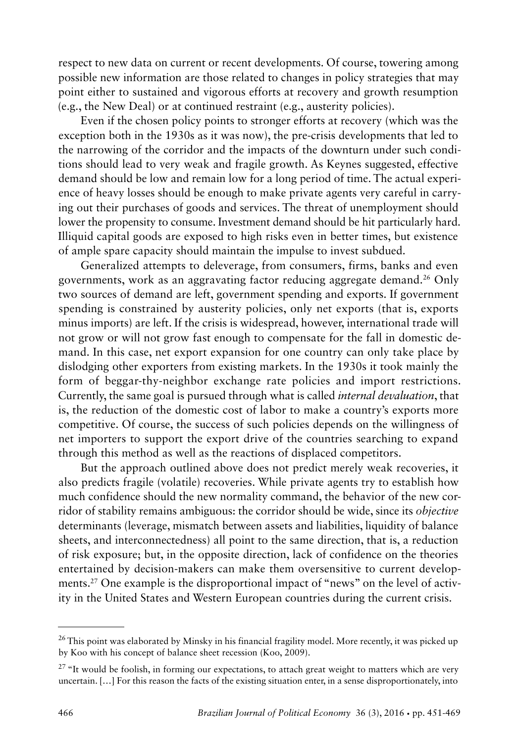respect to new data on current or recent developments. Of course, towering among possible new information are those related to changes in policy strategies that may point either to sustained and vigorous efforts at recovery and growth resumption (e.g., the New Deal) or at continued restraint (e.g., austerity policies).

Even if the chosen policy points to stronger efforts at recovery (which was the exception both in the 1930s as it was now), the pre-crisis developments that led to the narrowing of the corridor and the impacts of the downturn under such conditions should lead to very weak and fragile growth. As Keynes suggested, effective demand should be low and remain low for a long period of time. The actual experience of heavy losses should be enough to make private agents very careful in carrying out their purchases of goods and services. The threat of unemployment should lower the propensity to consume. Investment demand should be hit particularly hard. Illiquid capital goods are exposed to high risks even in better times, but existence of ample spare capacity should maintain the impulse to invest subdued.

Generalized attempts to deleverage, from consumers, firms, banks and even governments, work as an aggravating factor reducing aggregate demand.<sup>26</sup> Only two sources of demand are left, government spending and exports. If government spending is constrained by austerity policies, only net exports (that is, exports minus imports) are left. If the crisis is widespread, however, international trade will not grow or will not grow fast enough to compensate for the fall in domestic demand. In this case, net export expansion for one country can only take place by dislodging other exporters from existing markets. In the 1930s it took mainly the form of beggar-thy-neighbor exchange rate policies and import restrictions. Currently, the same goal is pursued through what is called *internal devaluation*, that is, the reduction of the domestic cost of labor to make a country's exports more competitive. Of course, the success of such policies depends on the willingness of net importers to support the export drive of the countries searching to expand through this method as well as the reactions of displaced competitors.

But the approach outlined above does not predict merely weak recoveries, it also predicts fragile (volatile) recoveries. While private agents try to establish how much confidence should the new normality command, the behavior of the new corridor of stability remains ambiguous: the corridor should be wide, since its *objective* determinants (leverage, mismatch between assets and liabilities, liquidity of balance sheets, and interconnectedness) all point to the same direction, that is, a reduction of risk exposure; but, in the opposite direction, lack of confidence on the theories entertained by decision-makers can make them oversensitive to current developments.27 One example is the disproportional impact of "news" on the level of activity in the United States and Western European countries during the current crisis.

 $^{26}$  This point was elaborated by Minsky in his financial fragility model. More recently, it was picked up by Koo with his concept of balance sheet recession (Koo, 2009).

 $27$  "It would be foolish, in forming our expectations, to attach great weight to matters which are very uncertain. […] For this reason the facts of the existing situation enter, in a sense disproportionately, into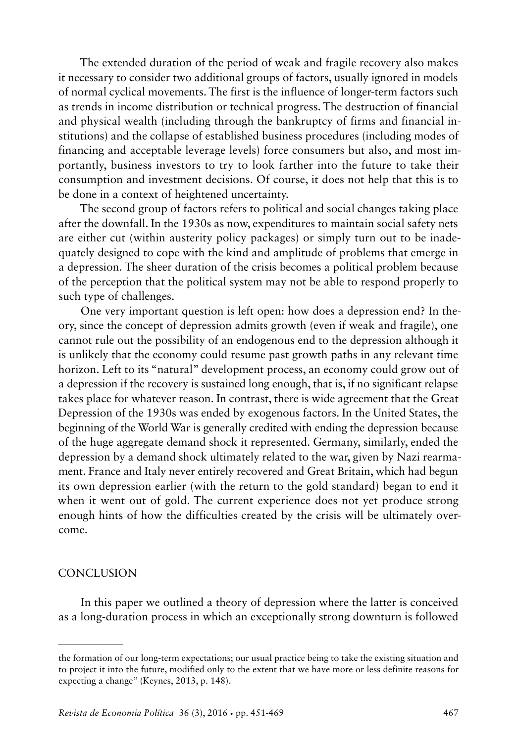The extended duration of the period of weak and fragile recovery also makes it necessary to consider two additional groups of factors, usually ignored in models of normal cyclical movements. The first is the influence of longer-term factors such as trends in income distribution or technical progress. The destruction of financial and physical wealth (including through the bankruptcy of firms and financial institutions) and the collapse of established business procedures (including modes of financing and acceptable leverage levels) force consumers but also, and most importantly, business investors to try to look farther into the future to take their consumption and investment decisions. Of course, it does not help that this is to be done in a context of heightened uncertainty.

The second group of factors refers to political and social changes taking place after the downfall. In the 1930s as now, expenditures to maintain social safety nets are either cut (within austerity policy packages) or simply turn out to be inadequately designed to cope with the kind and amplitude of problems that emerge in a depression. The sheer duration of the crisis becomes a political problem because of the perception that the political system may not be able to respond properly to such type of challenges.

One very important question is left open: how does a depression end? In theory, since the concept of depression admits growth (even if weak and fragile), one cannot rule out the possibility of an endogenous end to the depression although it is unlikely that the economy could resume past growth paths in any relevant time horizon. Left to its "natural" development process, an economy could grow out of a depression if the recovery is sustained long enough, that is, if no significant relapse takes place for whatever reason. In contrast, there is wide agreement that the Great Depression of the 1930s was ended by exogenous factors. In the United States, the beginning of the World War is generally credited with ending the depression because of the huge aggregate demand shock it represented. Germany, similarly, ended the depression by a demand shock ultimately related to the war, given by Nazi rearmament. France and Italy never entirely recovered and Great Britain, which had begun its own depression earlier (with the return to the gold standard) began to end it when it went out of gold. The current experience does not yet produce strong enough hints of how the difficulties created by the crisis will be ultimately overcome.

## **CONCLUSION**

In this paper we outlined a theory of depression where the latter is conceived as a long-duration process in which an exceptionally strong downturn is followed

the formation of our long-term expectations; our usual practice being to take the existing situation and to project it into the future, modified only to the extent that we have more or less definite reasons for expecting a change" (Keynes, 2013, p. 148).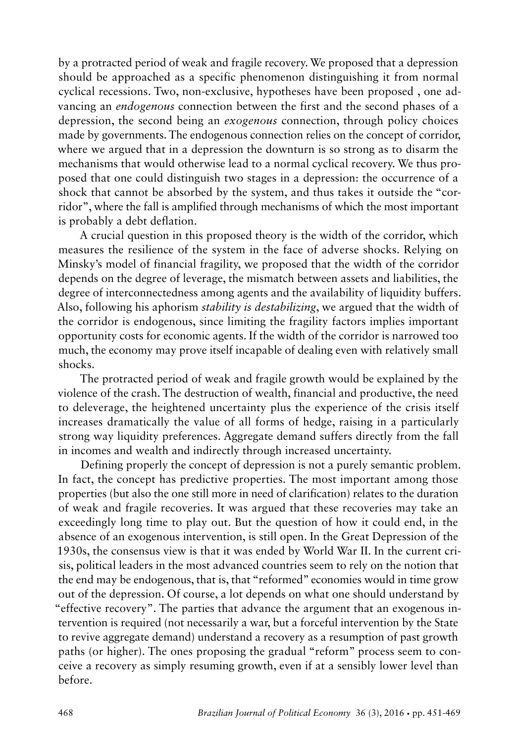by a protracted period of weak and fragile recovery. We proposed that a depression should be approached as a specific phenomenon distinguishing it from normal cyclical recessions. Two, non-exclusive, hypotheses have been proposed , one advancing an *endogenous* connection between the first and the second phases of a depression, the second being an *exogenous* connection, through policy choices made by governments. The endogenous connection relies on the concept of corridor, where we argued that in a depression the downturn is so strong as to disarm the mechanisms that would otherwise lead to a normal cyclical recovery. We thus proposed that one could distinguish two stages in a depression: the occurrence of a shock that cannot be absorbed by the system, and thus takes it outside the "corridor", where the fall is amplified through mechanisms of which the most important is probably a debt deflation.

A crucial question in this proposed theory is the width of the corridor, which measures the resilience of the system in the face of adverse shocks. Relying on Minsky's model of financial fragility, we proposed that the width of the corridor depends on the degree of leverage, the mismatch between assets and liabilities, the degree of interconnectedness among agents and the availability of liquidity buffers. Also, following his aphorism *stability is destabilizing*, we argued that the width of the corridor is endogenous, since limiting the fragility factors implies important opportunity costs for economic agents. If the width of the corridor is narrowed too much, the economy may prove itself incapable of dealing even with relatively small shocks.

The protracted period of weak and fragile growth would be explained by the violence of the crash. The destruction of wealth, financial and productive, the need to deleverage, the heightened uncertainty plus the experience of the crisis itself increases dramatically the value of all forms of hedge, raising in a particularly strong way liquidity preferences. Aggregate demand suffers directly from the fall in incomes and wealth and indirectly through increased uncertainty.

Defining properly the concept of depression is not a purely semantic problem. In fact, the concept has predictive properties. The most important among those properties (but also the one still more in need of clarification) relates to the duration of weak and fragile recoveries. It was argued that these recoveries may take an exceedingly long time to play out. But the question of how it could end, in the absence of an exogenous intervention, is still open. In the Great Depression of the 1930s, the consensus view is that it was ended by World War II. In the current crisis, political leaders in the most advanced countries seem to rely on the notion that the end may be endogenous, that is, that "reformed" economies would in time grow out of the depression. Of course, a lot depends on what one should understand by "effective recovery". The parties that advance the argument that an exogenous intervention is required (not necessarily a war, but a forceful intervention by the State to revive aggregate demand) understand a recovery as a resumption of past growth paths (or higher). The ones proposing the gradual "reform" process seem to conceive a recovery as simply resuming growth, even if at a sensibly lower level than before.